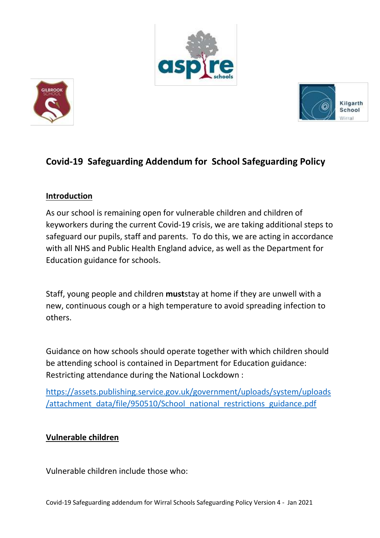





# **Covid-19 Safeguarding Addendum for School Safeguarding Policy**

### **Introduction**

As our school is remaining open for vulnerable children and children of keyworkers during the current Covid-19 crisis, we are taking additional steps to safeguard our pupils, staff and parents. To do this, we are acting in accordance with all NHS and Public Health England advice, as well as the Department for Education guidance for schools.

Staff, young people and children **must**stay at home if they are unwell with a new, continuous cough or a high temperature to avoid spreading infection to others.

Guidance on how schools should operate together with which children should be attending school is contained in Department for Education guidance: Restricting attendance during the National Lockdown :

[https://assets.publishing.service.gov.uk/government/uploads/system/uploads](https://assets.publishing.service.gov.uk/government/uploads/system/uploads/attachment_data/file/950510/School_national_restrictions_guidance.pdf) [/attachment\\_data/file/950510/School\\_national\\_restrictions\\_guidance.pdf](https://assets.publishing.service.gov.uk/government/uploads/system/uploads/attachment_data/file/950510/School_national_restrictions_guidance.pdf)

#### **Vulnerable children**

Vulnerable children include those who: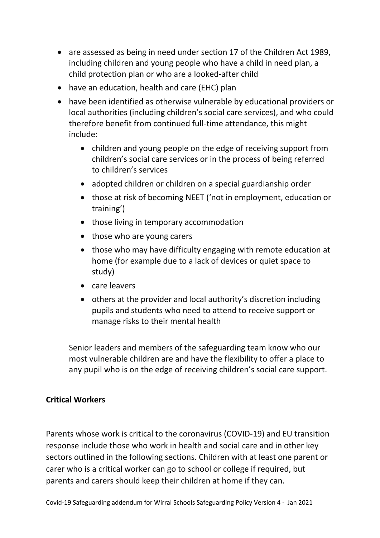- are assessed as being in need under section 17 of the Children Act 1989, including children and young people who have a child in need plan, a child protection plan or who are a looked-after child
- have an education, health and care (EHC) plan
- have been identified as otherwise vulnerable by educational providers or local authorities (including children's social care services), and who could therefore benefit from continued full-time attendance, this might include:
	- children and young people on the edge of receiving support from children's social care services or in the process of being referred to children's services
	- adopted children or children on a special guardianship order
	- those at risk of becoming NEET ('not in employment, education or training')
	- those living in temporary accommodation
	- those who are young carers
	- those who may have difficulty engaging with remote education at home (for example due to a lack of devices or quiet space to study)
	- care leavers
	- others at the provider and local authority's discretion including pupils and students who need to attend to receive support or manage risks to their mental health

Senior leaders and members of the safeguarding team know who our most vulnerable children are and have the flexibility to offer a place to any pupil who is on the edge of receiving children's social care support.

#### **Critical Workers**

Parents whose work is critical to the coronavirus (COVID-19) and EU transition response include those who work in health and social care and in other key sectors outlined in the following sections. Children with at least one parent or carer who is a critical worker can go to school or college if required, but parents and carers should keep their children at home if they can.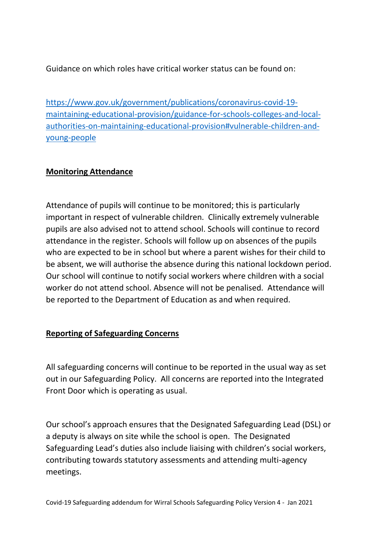Guidance on which roles have critical worker status can be found on:

[https://www.gov.uk/government/publications/coronavirus-covid-19](https://www.gov.uk/government/publications/coronavirus-covid-19-maintaining-educational-provision/guidance-for-schools-colleges-and-local-authorities-on-maintaining-educational-provision#vulnerable-children-and-young-people) [maintaining-educational-provision/guidance-for-schools-colleges-and-local](https://www.gov.uk/government/publications/coronavirus-covid-19-maintaining-educational-provision/guidance-for-schools-colleges-and-local-authorities-on-maintaining-educational-provision#vulnerable-children-and-young-people)[authorities-on-maintaining-educational-provision#vulnerable-children-and](https://www.gov.uk/government/publications/coronavirus-covid-19-maintaining-educational-provision/guidance-for-schools-colleges-and-local-authorities-on-maintaining-educational-provision#vulnerable-children-and-young-people)[young-people](https://www.gov.uk/government/publications/coronavirus-covid-19-maintaining-educational-provision/guidance-for-schools-colleges-and-local-authorities-on-maintaining-educational-provision#vulnerable-children-and-young-people)

### **Monitoring Attendance**

Attendance of pupils will continue to be monitored; this is particularly important in respect of vulnerable children. Clinically extremely vulnerable pupils are also advised not to attend school. Schools will continue to record attendance in the register. Schools will follow up on absences of the pupils who are expected to be in school but where a parent wishes for their child to be absent, we will authorise the absence during this national lockdown period. Our school will continue to notify social workers where children with a social worker do not attend school. Absence will not be penalised. Attendance will be reported to the Department of Education as and when required.

## **Reporting of Safeguarding Concerns**

All safeguarding concerns will continue to be reported in the usual way as set out in our Safeguarding Policy. All concerns are reported into the Integrated Front Door which is operating as usual.

Our school's approach ensures that the Designated Safeguarding Lead (DSL) or a deputy is always on site while the school is open. The Designated Safeguarding Lead's duties also include liaising with children's social workers, contributing towards statutory assessments and attending multi-agency meetings.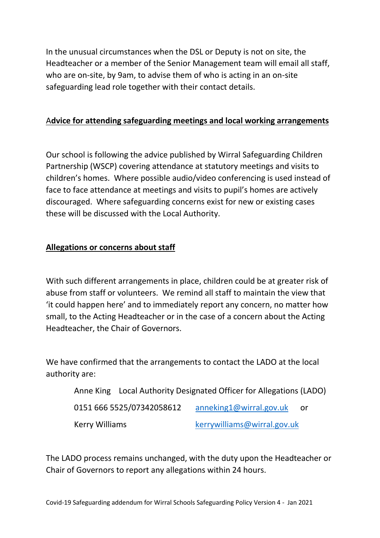In the unusual circumstances when the DSL or Deputy is not on site, the Headteacher or a member of the Senior Management team will email all staff, who are on-site, by 9am, to advise them of who is acting in an on-site safeguarding lead role together with their contact details.

#### A**dvice for attending safeguarding meetings and local working arrangements**

Our school is following the advice published by Wirral Safeguarding Children Partnership (WSCP) covering attendance at statutory meetings and visits to children's homes. Where possible audio/video conferencing is used instead of face to face attendance at meetings and visits to pupil's homes are actively discouraged. Where safeguarding concerns exist for new or existing cases these will be discussed with the Local Authority.

#### **Allegations or concerns about staff**

With such different arrangements in place, children could be at greater risk of abuse from staff or volunteers. We remind all staff to maintain the view that 'it could happen here' and to immediately report any concern, no matter how small, to the Acting Headteacher or in the case of a concern about the Acting Headteacher, the Chair of Governors.

We have confirmed that the arrangements to contact the LADO at the local authority are:

Anne King Local Authority Designated Officer for Allegations (LADO)

0151 666 5525/07342058612 [anneking1@wirral.gov.uk](mailto:anneking1@wirral.gov.uk) or Kerry Williams **Kerrywilliams@wirral.gov.uk** 

The LADO process remains unchanged, with the duty upon the Headteacher or Chair of Governors to report any allegations within 24 hours.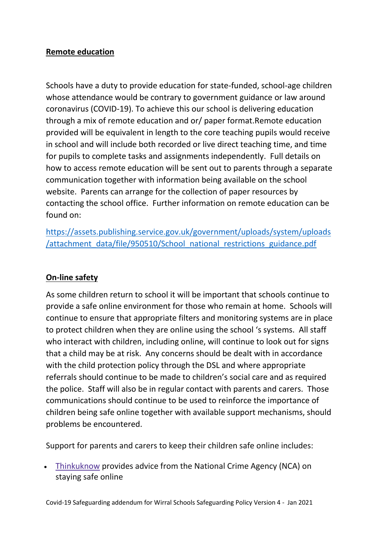### **Remote education**

Schools have a duty to provide education for state-funded, school-age children whose attendance would be contrary to government guidance or law around coronavirus (COVID-19). To achieve this our school is delivering education through a mix of remote education and or/ paper format.Remote education provided will be equivalent in length to the core teaching pupils would receive in school and will include both recorded or live direct teaching time, and time for pupils to complete tasks and assignments independently. Full details on how to access remote education will be sent out to parents through a separate communication together with information being available on the school website. Parents can arrange for the collection of paper resources by contacting the school office. Further information on remote education can be found on:

[https://assets.publishing.service.gov.uk/government/uploads/system/uploads](https://assets.publishing.service.gov.uk/government/uploads/system/uploads/attachment_data/file/950510/School_national_restrictions_guidance.pdf) [/attachment\\_data/file/950510/School\\_national\\_restrictions\\_guidance.pdf](https://assets.publishing.service.gov.uk/government/uploads/system/uploads/attachment_data/file/950510/School_national_restrictions_guidance.pdf)

## **On-line safety**

As some children return to school it will be important that schools continue to provide a safe online environment for those who remain at home. Schools will continue to ensure that appropriate filters and monitoring systems are in place to protect children when they are online using the school 's systems. All staff who interact with children, including online, will continue to look out for signs that a child may be at risk. Any concerns should be dealt with in accordance with the child protection policy through the DSL and where appropriate referrals should continue to be made to children's social care and as required the police. Staff will also be in regular contact with parents and carers. Those communications should continue to be used to reinforce the importance of children being safe online together with available support mechanisms, should problems be encountered.

Support for parents and carers to keep their children safe online includes:

 [Thinkuknow](http://www.thinkuknow.co.uk/) provides advice from the National Crime Agency (NCA) on staying safe online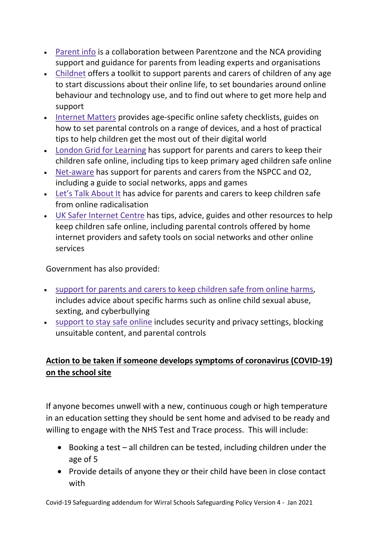- [Parent](https://parentinfo.org/) info is a collaboration between Parentzone and the NCA providing support and guidance for parents from leading experts and organisations
- [Childnet](https://www.childnet.com/parents-and-carers/parent-and-carer-toolkit) offers a toolkit to support parents and carers of children of any age to start discussions about their online life, to set boundaries around online behaviour and technology use, and to find out where to get more help and support
- [Internet](https://www.internetmatters.org/?gclid=EAIaIQobChMIktuA5LWK2wIVRYXVCh2afg2aEAAYASAAEgIJ5vD_BwE) Matters provides age-specific online safety checklists, guides on how to set parental controls on a range of devices, and a host of practical tips to help children get the most out of their digital world
- London Grid for [Learning](http://www.lgfl.net/online-safety/) has support for parents and carers to keep their children safe online, including tips to keep primary aged children safe online
- [Net-aware](https://www.net-aware.org.uk/) has support for parents and carers from the NSPCC and O2, including a guide to social networks, apps and games
- Let's Talk [About](https://www.ltai.info/staying-safe-online/) It has advice for parents and carers to keep children safe from online radicalisation
- UK Safer [Internet](https://www.saferinternet.org.uk/advice-centre/parents-and-carers) Centre has tips, advice, guides and other resources to help keep children safe online, including parental controls offered by home internet providers and safety tools on social networks and other online services

Government has also provided:

- support for parents and carers to keep [children](https://www.gov.uk/government/publications/coronavirus-covid-19-keeping-children-safe-online/coronavirus-covid-19-support-for-parents-and-carers-to-keep-children-safe-online) safe from online harms, includes advice about specific harms such as online child sexual abuse, sexting, and cyberbullying
- [support](https://www.gov.uk/guidance/covid-19-staying-safe-online) to stay safe online includes security and privacy settings, blocking unsuitable content, and parental controls

## **Action to be taken if someone develops symptoms of coronavirus (COVID-19) on the school site**

If anyone becomes unwell with a new, continuous cough or high temperature in an education setting they should be sent home and advised to be ready and willing to engage with the NHS Test and Trace process. This will include:

- $\bullet$  Booking a test all children can be tested, including children under the age of 5
- Provide details of anyone they or their child have been in close contact with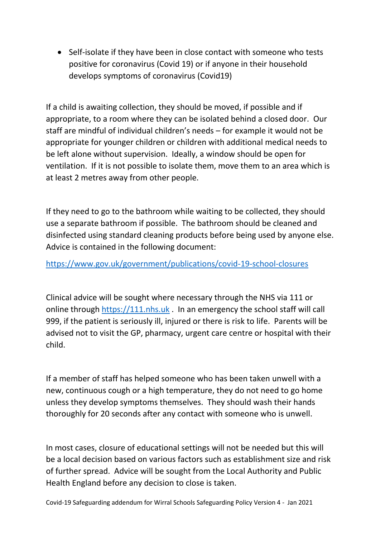• Self-isolate if they have been in close contact with someone who tests positive for coronavirus (Covid 19) or if anyone in their household develops symptoms of coronavirus (Covid19)

If a child is awaiting collection, they should be moved, if possible and if appropriate, to a room where they can be isolated behind a closed door. Our staff are mindful of individual children's needs – for example it would not be appropriate for younger children or children with additional medical needs to be left alone without supervision. Ideally, a window should be open for ventilation. If it is not possible to isolate them, move them to an area which is at least 2 metres away from other people.

If they need to go to the bathroom while waiting to be collected, they should use a separate bathroom if possible. The bathroom should be cleaned and disinfected using standard cleaning products before being used by anyone else. Advice is contained in the following document:

<https://www.gov.uk/government/publications/covid-19-school-closures>

Clinical advice will be sought where necessary through the NHS via 111 or online through [https://111.nhs.uk](https://111.nhs.uk/) . In an emergency the school staff will call 999, if the patient is seriously ill, injured or there is risk to life. Parents will be advised not to visit the GP, pharmacy, urgent care centre or hospital with their child.

If a member of staff has helped someone who has been taken unwell with a new, continuous cough or a high temperature, they do not need to go home unless they develop symptoms themselves. They should wash their hands thoroughly for 20 seconds after any contact with someone who is unwell.

In most cases, closure of educational settings will not be needed but this will be a local decision based on various factors such as establishment size and risk of further spread. Advice will be sought from the Local Authority and Public Health England before any decision to close is taken.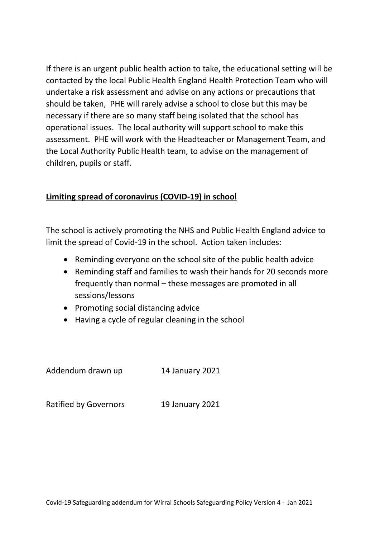If there is an urgent public health action to take, the educational setting will be contacted by the local Public Health England Health Protection Team who will undertake a risk assessment and advise on any actions or precautions that should be taken, PHE will rarely advise a school to close but this may be necessary if there are so many staff being isolated that the school has operational issues. The local authority will support school to make this assessment. PHE will work with the Headteacher or Management Team, and the Local Authority Public Health team, to advise on the management of children, pupils or staff.

#### **Limiting spread of coronavirus (COVID-19) in school**

The school is actively promoting the NHS and Public Health England advice to limit the spread of Covid-19 in the school. Action taken includes:

- Reminding everyone on the school site of the public health advice
- Reminding staff and families to wash their hands for 20 seconds more frequently than normal – these messages are promoted in all sessions/lessons
- Promoting social distancing advice
- Having a cycle of regular cleaning in the school

Addendum drawn up 14 January 2021

Ratified by Governors 19 January 2021